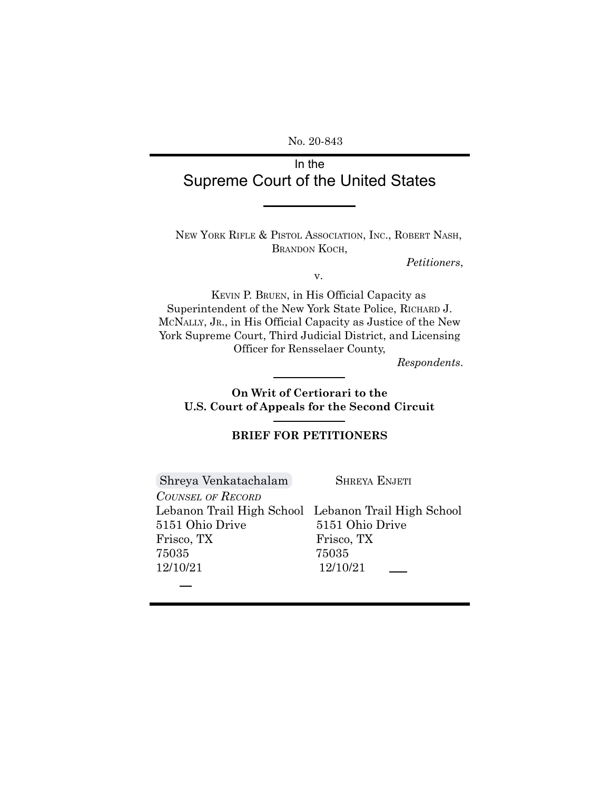No. 20-843

# In the Supreme Court of the United States

NEW YORK RIFLE & PISTOL ASSOCIATION, INC., ROBERT NASH, BRANDON KOCH,

*Petitioners*,

v.

KEVIN P. BRUEN, in His Official Capacity as Superintendent of the New York State Police, RICHARD J. MCNALLY, JR., in His Official Capacity as Justice of the New York Supreme Court, Third Judicial District, and Licensing Officer for Rensselaer County,

*Respondents*.

**On Writ of Certiorari to the U.S. Court of Appeals for the Second Circuit**

### **BRIEF FOR PETITIONERS**

[Shreya Venkatachalam](mailto:shreya.venkatachalam.831@k12.friscoisd.org) SHREYA ENJETI *COUNSEL OF RECORD* Lebanon Trail High School Lebanon Trail High School 5151 Ohio Drive 5151 Ohio Drive Frisco, TX Frisco, TX 75035 75035 12/10/21 12/10/21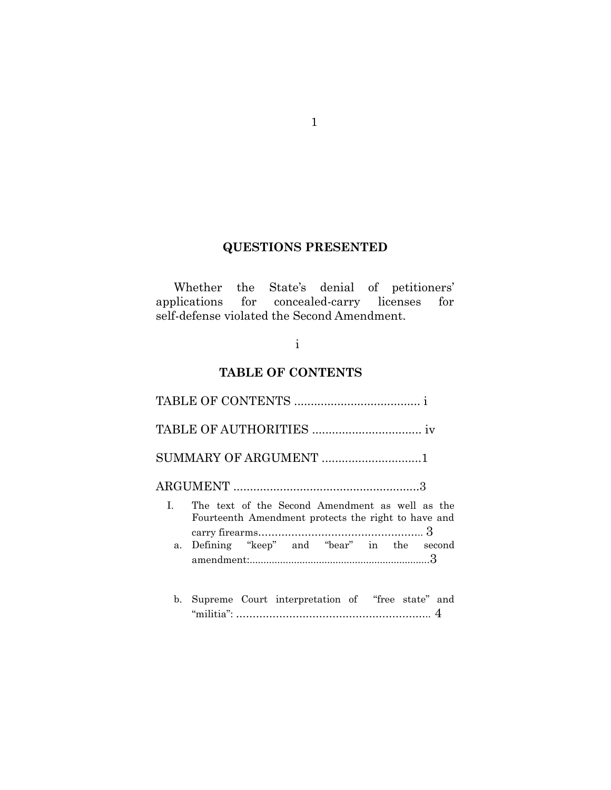## **QUESTIONS PRESENTED**

1

Whether the State's denial of petitioners' applications for concealed-carry licenses for self-defense violated the Second Amendment.

## i

# **TABLE OF CONTENTS**

|              | SUMMARY OF ARGUMENT 1                                                                                  |
|--------------|--------------------------------------------------------------------------------------------------------|
|              |                                                                                                        |
| $\mathbf{L}$ | The text of the Second Amendment as well as the<br>Fourteenth Amendment protects the right to have and |
|              | a. Defining "keep" and "bear" in the second                                                            |
| b.           | Supreme Court interpretation of "free state" and                                                       |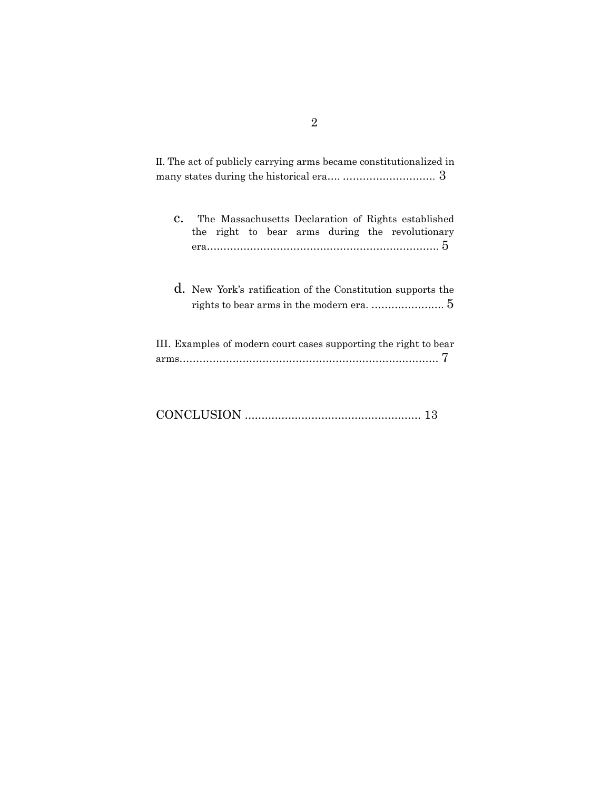| II. The act of publicly carrying arms became constitutionalized in                                           |
|--------------------------------------------------------------------------------------------------------------|
| The Massachusetts Declaration of Rights established<br>C.<br>the right to bear arms during the revolutionary |
| d. New York's ratification of the Constitution supports the                                                  |
| III. Examples of modern court cases supporting the right to bear                                             |

|--|--|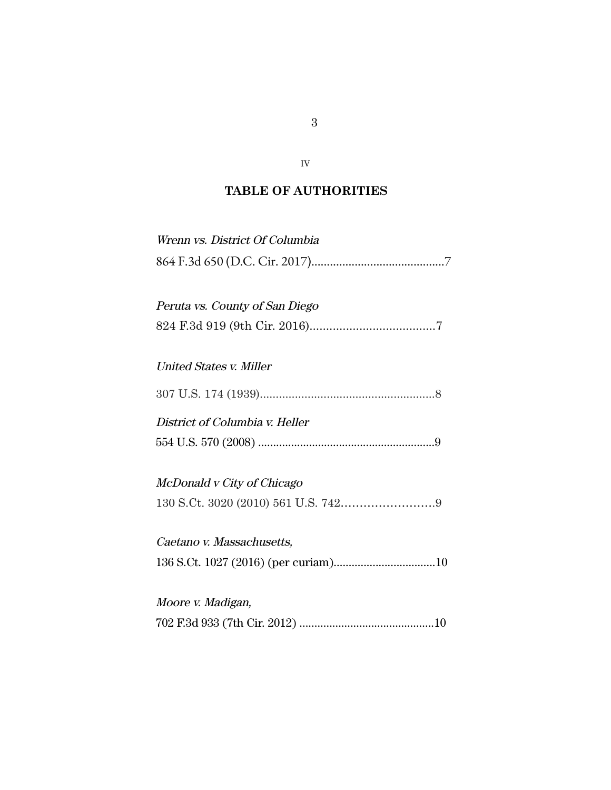# **TABLE OF AUTHORITIES**

IV

| Wrenn vs. District Of Columbia |
|--------------------------------|
| Peruta vs. County of San Diego |
| United States v. Miller        |
|                                |
| District of Columbia v. Heller |
| McDonald v City of Chicago     |
| Caetano v. Massachusetts,      |
| Moore v. Madigan,              |
|                                |

3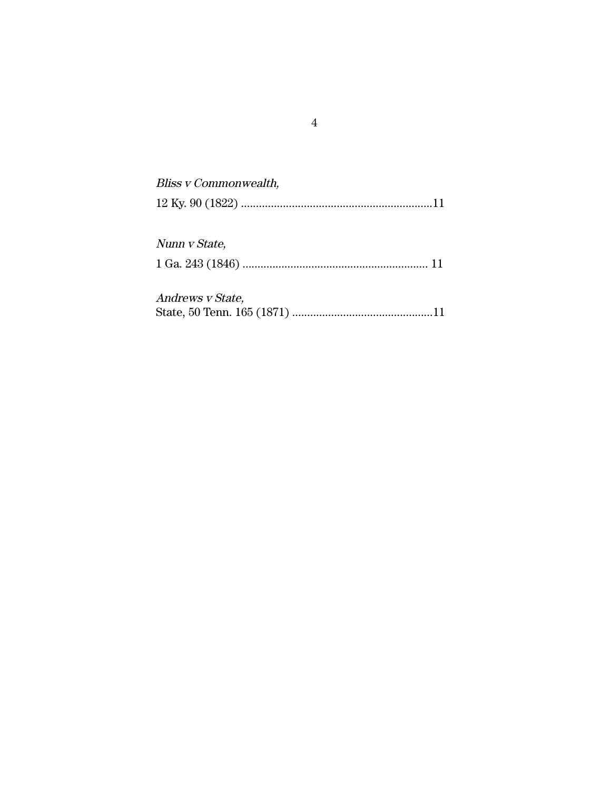| Bliss v Commonwealth, |
|-----------------------|
| Nunn v State,         |
| Andrews v State,      |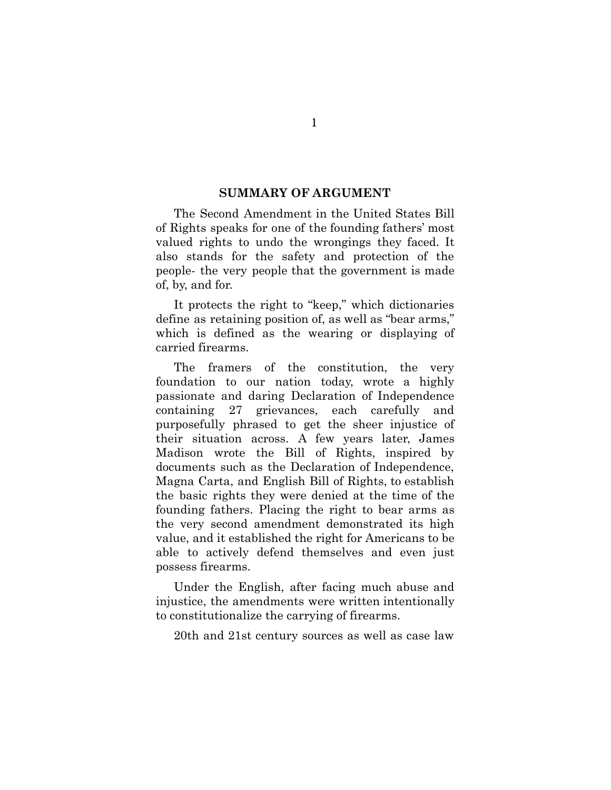#### **SUMMARY OF ARGUMENT**

The Second Amendment in the United States Bill of Rights speaks for one of the founding fathers' most valued rights to undo the wrongings they faced. It also stands for the safety and protection of the people- the very people that the government is made of, by, and for.

It protects the right to "keep," which dictionaries define as retaining position of, as well as "bear arms," which is defined as the wearing or displaying of carried firearms.

The framers of the constitution, the very foundation to our nation today, wrote a highly passionate and daring Declaration of Independence containing 27 grievances, each carefully and purposefully phrased to get the sheer injustice of their situation across. A few years later, James Madison wrote the Bill of Rights, inspired by documents such as the Declaration of Independence, Magna Carta, and English Bill of Rights, to establish the basic rights they were denied at the time of the founding fathers. Placing the right to bear arms as the very second amendment demonstrated its high value, and it established the right for Americans to be able to actively defend themselves and even just possess firearms.

Under the English, after facing much abuse and injustice, the amendments were written intentionally to constitutionalize the carrying of firearms.

20th and 21st century sources as well as case law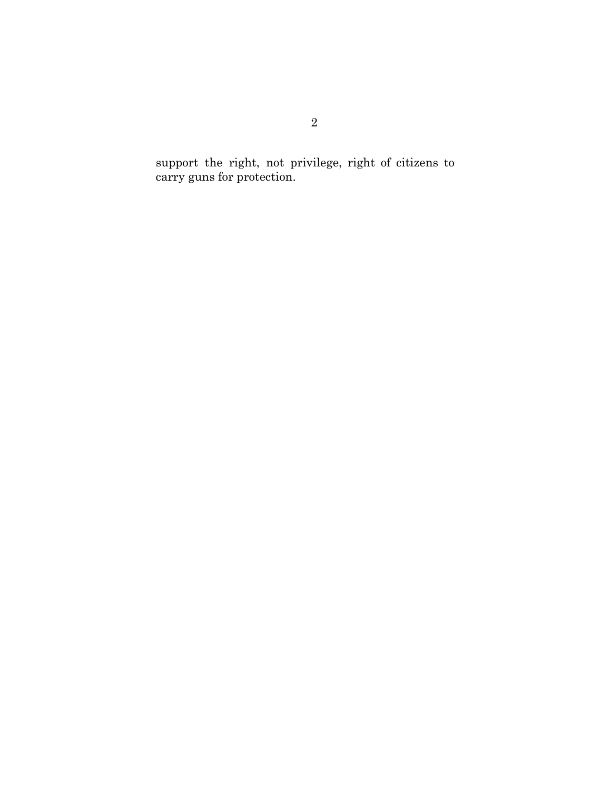support the right, not privilege, right of citizens to carry guns for protection.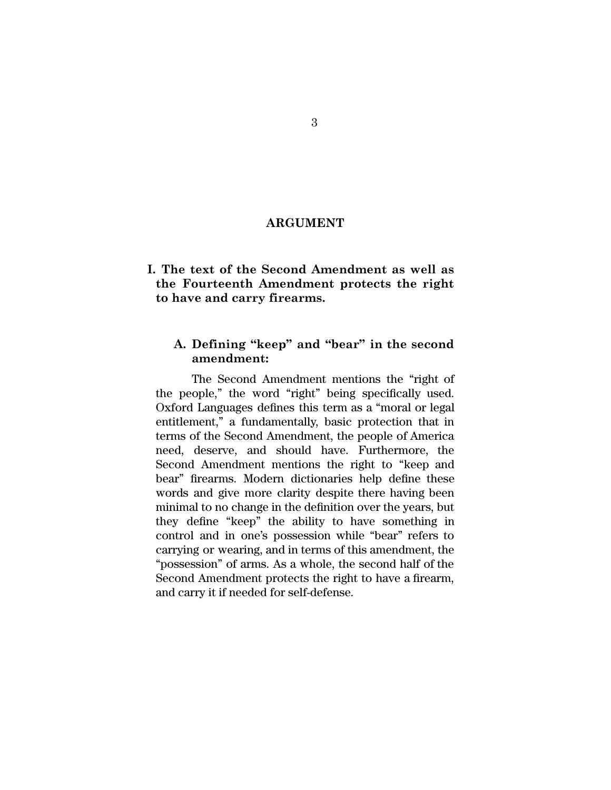#### **ARGUMENT**

## **I. The text of the Second Amendment as well as the Fourteenth Amendment protects the right to have and carry firearms.**

## **A. Defining "keep" and "bear" in the second amendment:**

The Second Amendment mentions the "right of the people," the word "right" being specifically used. Oxford Languages defines this term as a "moral or legal entitlement," a fundamentally, basic protection that in terms of the Second Amendment, the people of America need, deserve, and should have. Furthermore, the Second Amendment mentions the right to "keep and bear" firearms. Modern dictionaries help define these words and give more clarity despite there having been minimal to no change in the definition over the years, but they define "keep" the ability to have something in control and in one's possession while "bear" refers to carrying or wearing, and in terms of this amendment, the "possession" of arms. As a whole, the second half of the Second Amendment protects the right to have a firearm, and carry it if needed for self-defense.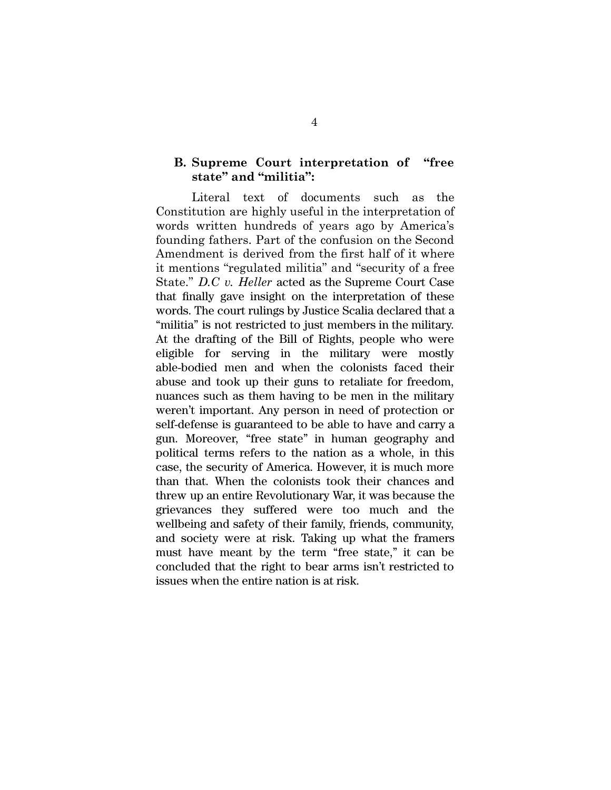## **B. Supreme Court interpretation of "free state" and "militia":**

Literal text of documents such as the Constitution are highly useful in the interpretation of words written hundreds of years ago by America's founding fathers. Part of the confusion on the Second Amendment is derived from the first half of it where it mentions "regulated militia" and "security of a free State." *D.C v. Heller* acted as the Supreme Court Case that finally gave insight on the interpretation of these words. The court rulings by Justice Scalia declared that a "militia" is not restricted to just members in the military. At the drafting of the Bill of Rights, people who were eligible for serving in the military were mostly able-bodied men and when the colonists faced their abuse and took up their guns to retaliate for freedom, nuances such as them having to be men in the military weren't important. Any person in need of protection or self-defense is guaranteed to be able to have and carry a gun. Moreover, "free state" in human geography and political terms refers to the nation as a whole, in this case, the security of America. However, it is much more than that. When the colonists took their chances and threw up an entire Revolutionary War, it was because the grievances they suffered were too much and the wellbeing and safety of their family, friends, community, and society were at risk. Taking up what the framers must have meant by the term "free state," it can be concluded that the right to bear arms isn't restricted to issues when the entire nation is at risk.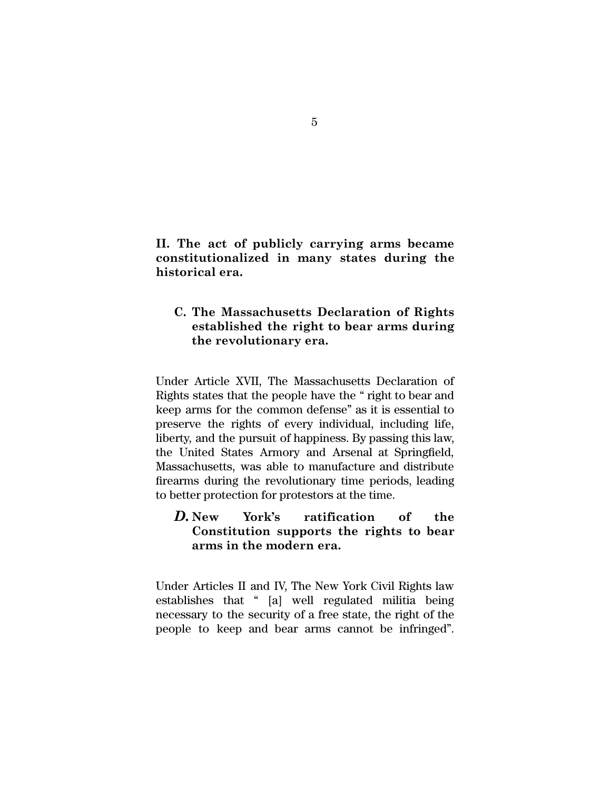**II. The act of publicly carrying arms became constitutionalized in many states during the historical era.**

## **C. The Massachusetts Declaration of Rights established the right to bear arms during the revolutionary era.**

Under Article XVII, The Massachusetts Declaration of Rights states that the people have the " right to bear and keep arms for the common defense" as it is essential to preserve the rights of every individual, including life, liberty, and the pursuit of happiness. By passing this law, the United States Armory and Arsenal at Springfield, Massachusetts, was able to manufacture and distribute firearms during the revolutionary time periods, leading to better protection for protestors at the time.

## *D.* **New York's ratification of the Constitution supports the rights to bear arms in the modern era.**

Under Articles II and IV, The New York Civil Rights law establishes that " [a] well regulated militia being necessary to the security of a free state, the right of the people to keep and bear arms cannot be infringed".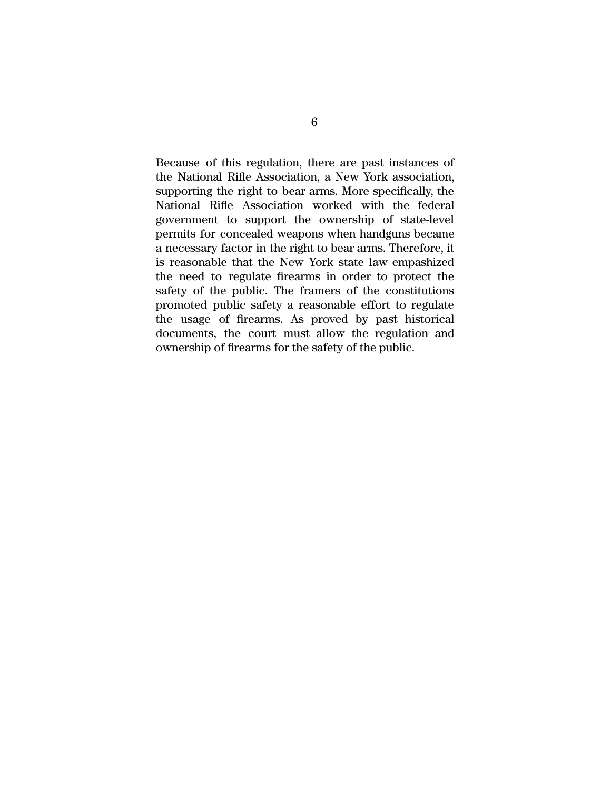Because of this regulation, there are past instances of the National Rifle Association, a New York association, supporting the right to bear arms. More specifically, the National Rifle Association worked with the federal government to support the ownership of state-level permits for concealed weapons when handguns became a necessary factor in the right to bear arms. Therefore, it is reasonable that the New York state law empashized the need to regulate firearms in order to protect the safety of the public. The framers of the constitutions promoted public safety a reasonable effort to regulate the usage of firearms. As proved by past historical documents, the court must allow the regulation and ownership of firearms for the safety of the public.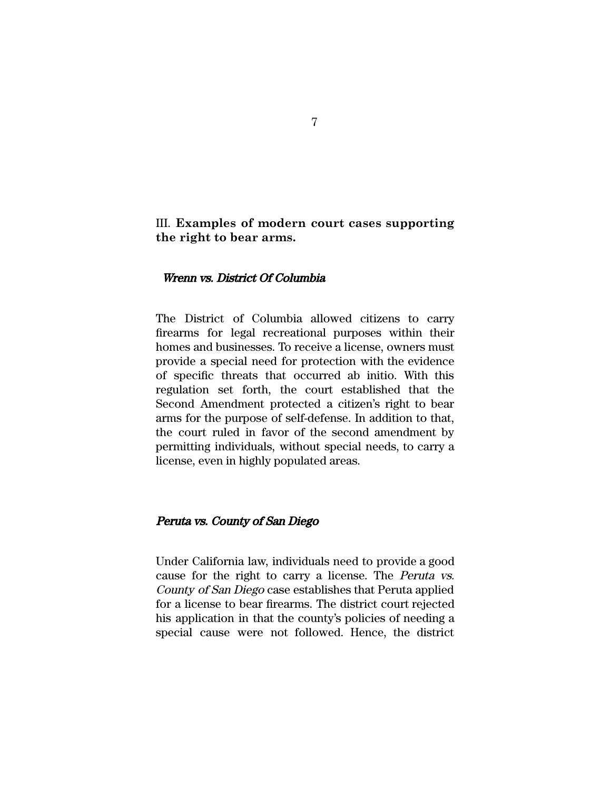## III. **Examples of modern court cases supporting the right to bear arms.**

### Wrenn vs. District Of Columbia

The District of Columbia allowed citizens to carry firearms for legal recreational purposes within their homes and businesses. To receive a license, owners must provide a special need for protection with the evidence of specific threats that occurred ab initio. With this regulation set forth, the court established that the Second Amendment protected a citizen's right to bear arms for the purpose of self-defense. In addition to that, the court ruled in favor of the second amendment by permitting individuals, without special needs, to carry a license, even in highly populated areas.

#### Peruta vs. County of San Diego

Under California law, individuals need to provide a good cause for the right to carry a license. The Peruta vs. County of San Diego case establishes that Peruta applied for a license to bear firearms. The district court rejected his application in that the county's policies of needing a special cause were not followed. Hence, the district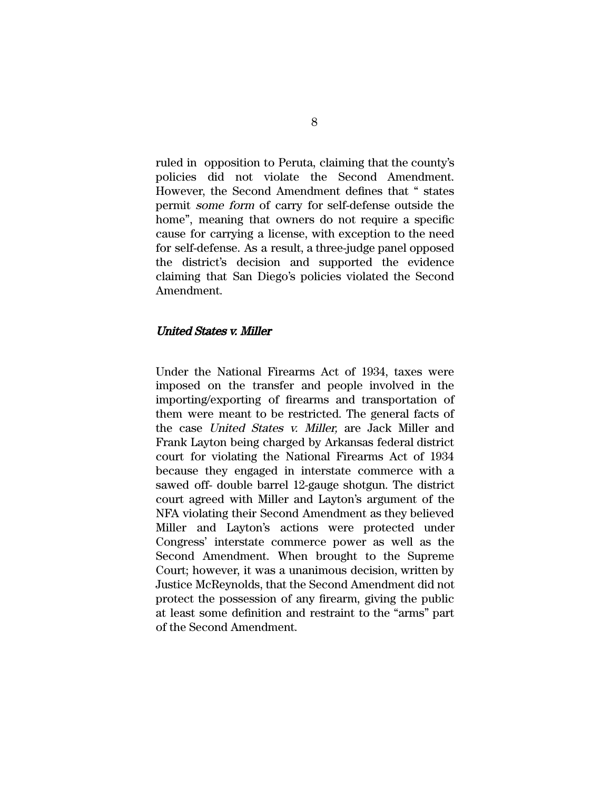ruled in opposition to Peruta, claiming that the county's policies did not violate the Second Amendment. However, the Second Amendment defines that " states permit some form of carry for self-defense outside the home", meaning that owners do not require a specific cause for carrying a license, with exception to the need for self-defense. As a result, a three-judge panel opposed the district's decision and supported the evidence claiming that San Diego's policies violated the Second Amendment.

### United States v. Miller

Under the National Firearms Act of 1934, taxes were imposed on the transfer and people involved in the importing/exporting of firearms and transportation of them were meant to be restricted. The general facts of the case United States v. Miller, are Jack Miller and Frank Layton being charged by Arkansas federal district court for violating the National Firearms Act of 1934 because they engaged in interstate commerce with a sawed off- double barrel 12-gauge shotgun. The district court agreed with Miller and Layton's argument of the NFA violating their Second Amendment as they believed Miller and Layton's actions were protected under Congress' interstate commerce power as well as the Second Amendment. When brought to the Supreme Court; however, it was a unanimous decision, written by Justice McReynolds, that the Second Amendment did not protect the possession of any firearm, giving the public at least some definition and restraint to the "arms" part of the Second Amendment.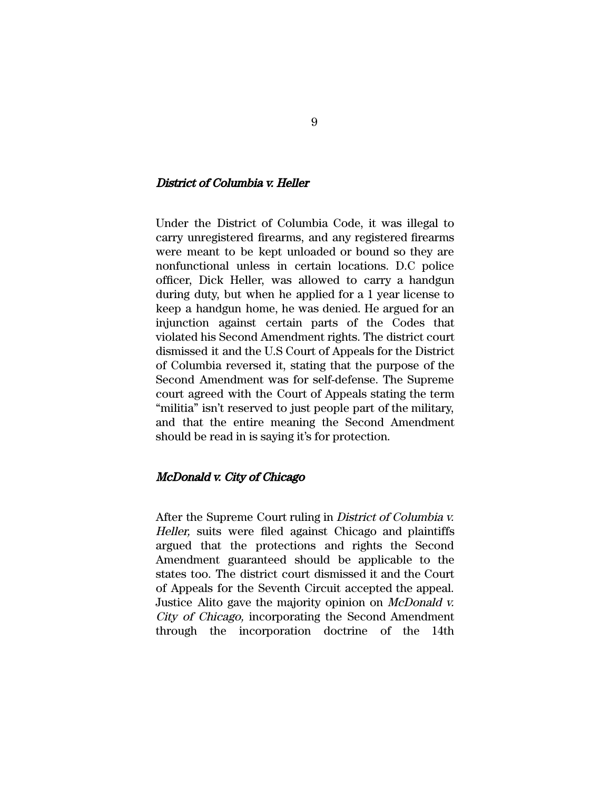## District of Columbia v. Heller

Under the District of Columbia Code, it was illegal to carry unregistered firearms, and any registered firearms were meant to be kept unloaded or bound so they are nonfunctional unless in certain locations. D.C police officer, Dick Heller, was allowed to carry a handgun during duty, but when he applied for a 1 year license to keep a handgun home, he was denied. He argued for an injunction against certain parts of the Codes that violated his Second Amendment rights. The district court dismissed it and the U.S Court of Appeals for the District of Columbia reversed it, stating that the purpose of the Second Amendment was for self-defense. The Supreme court agreed with the Court of Appeals stating the term "militia" isn't reserved to just people part of the military, and that the entire meaning the Second Amendment should be read in is saying it's for protection.

### McDonald v. City of Chicago

After the Supreme Court ruling in District of Columbia v. Heller, suits were filed against Chicago and plaintiffs argued that the protections and rights the Second Amendment guaranteed should be applicable to the states too. The district court dismissed it and the Court of Appeals for the Seventh Circuit accepted the appeal. Justice Alito gave the majority opinion on McDonald v. City of Chicago, incorporating the Second Amendment through the incorporation doctrine of the 14th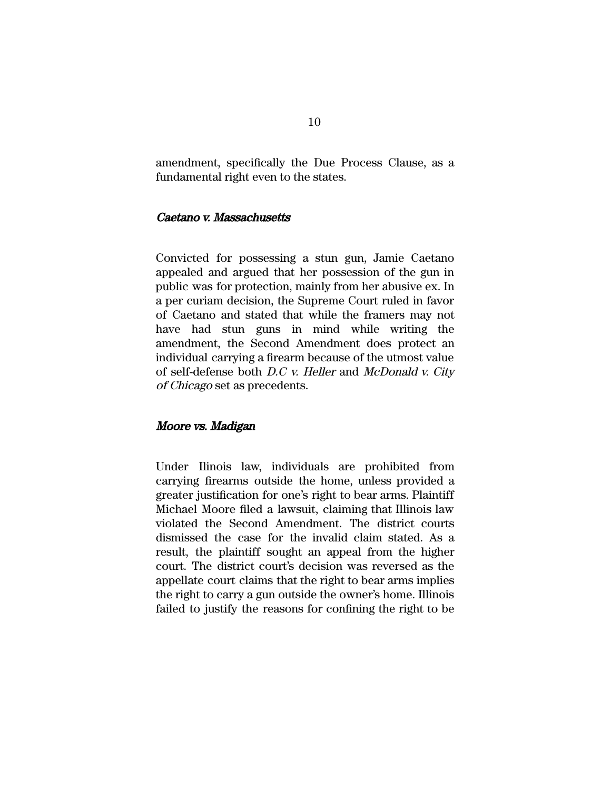amendment, specifically the Due Process Clause, as a fundamental right even to the states.

### Caetano v. Massachusetts

Convicted for possessing a stun gun, Jamie Caetano appealed and argued that her possession of the gun in public was for protection, mainly from her abusive ex. In a per curiam decision, the Supreme Court ruled in favor of Caetano and stated that while the framers may not have had stun guns in mind while writing the amendment, the Second Amendment does protect an individual carrying a firearm because of the utmost value of self-defense both D.C v. Heller and McDonald v. City of Chicago set as precedents.

### Moore vs. Madigan

Under Ilinois law, individuals are prohibited from carrying firearms outside the home, unless provided a greater justification for one's right to bear arms. Plaintiff Michael Moore filed a lawsuit, claiming that Illinois law violated the Second Amendment. The district courts dismissed the case for the invalid claim stated. As a result, the plaintiff sought an appeal from the higher court. The district court's decision was reversed as the appellate court claims that the right to bear arms implies the right to carry a gun outside the owner's home. Illinois failed to justify the reasons for confining the right to be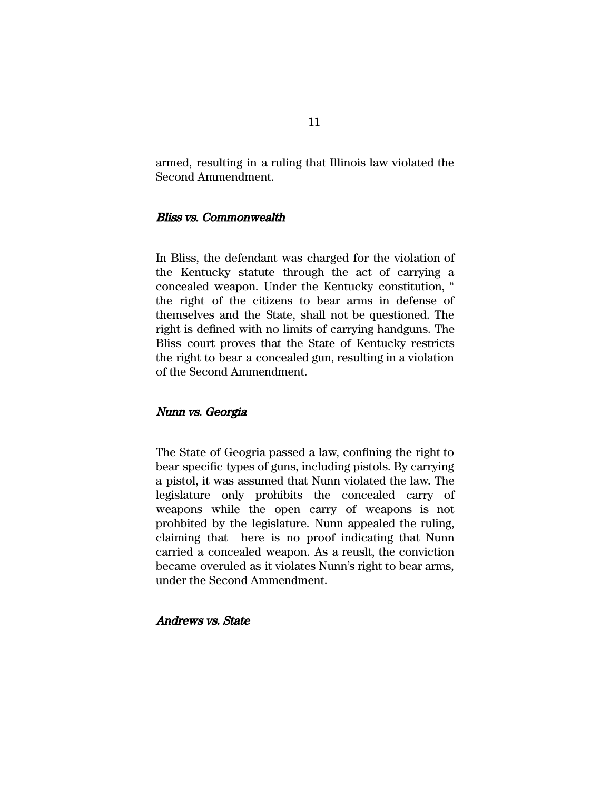armed, resulting in a ruling that Illinois law violated the Second Ammendment.

### Bliss vs. Commonwealth

In Bliss, the defendant was charged for the violation of the Kentucky statute through the act of carrying a concealed weapon. Under the Kentucky constitution, " the right of the citizens to bear arms in defense of themselves and the State, shall not be questioned. The right is defined with no limits of carrying handguns. The Bliss court proves that the State of Kentucky restricts the right to bear a concealed gun, resulting in a violation of the Second Ammendment.

### Nunn vs. Georgia

The State of Geogria passed a law, confining the right to bear specific types of guns, including pistols. By carrying a pistol, it was assumed that Nunn violated the law. The legislature only prohibits the concealed carry of weapons while the open carry of weapons is not prohbited by the legislature. Nunn appealed the ruling, claiming that here is no proof indicating that Nunn carried a concealed weapon. As a reuslt, the conviction became overuled as it violates Nunn's right to bear arms, under the Second Ammendment.

## Andrews vs. State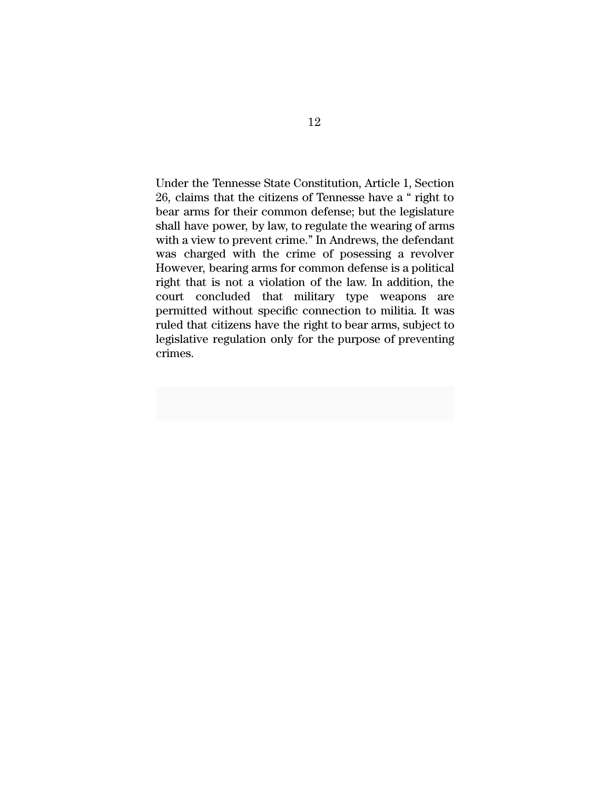Under the Tennesse State Constitution, Article 1, Section 26, claims that the citizens of Tennesse have a " right to bear arms for their common defense; but the legislature shall have power, by law, to regulate the wearing of arms with a view to prevent crime." In Andrews, the defendant was charged with the crime of posessing a revolver However, bearing arms for common defense is a political right that is not a violation of the law. In addition, the court concluded that military type weapons are permitted without specific connection to militia. It was ruled that citizens have the right to bear arms, subject to legislative regulation only for the purpose of preventing crimes.